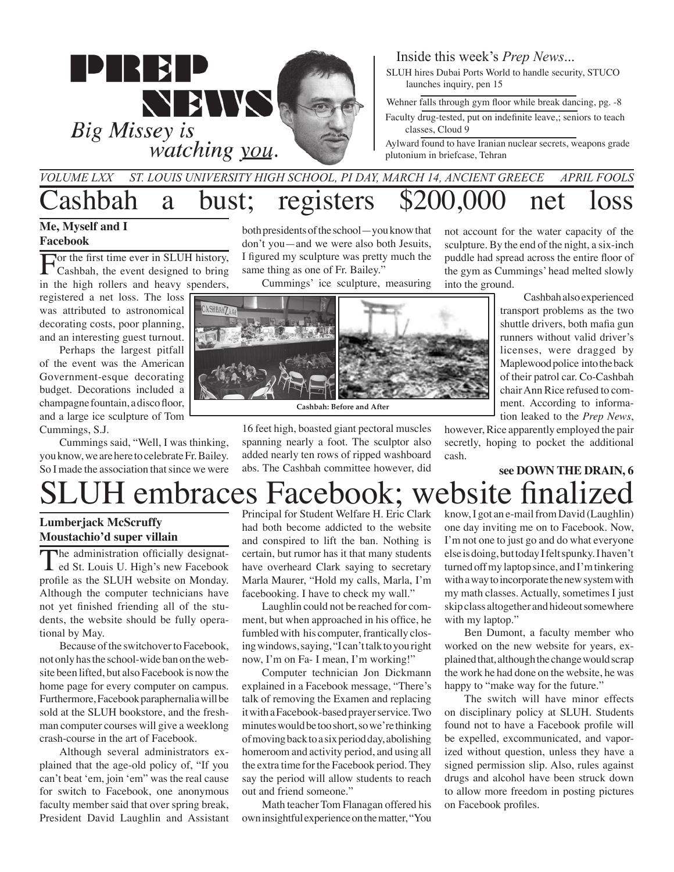

#### Inside this week's *Prep News*...

SLUH hires Dubai Ports World to handle security, STUCO launches inquiry, pen 15

Wehner falls through gym floor while break dancing, pg. -8

Faculty drug-tested, put on indefinite leave,; seniors to teach classes, Cloud 9

Aylward found to have Iranian nuclear secrets, weapons grade plutonium in briefcase, Tehran

#### Cashbah a bust; registers \$200,000 net loss *St. Louis University High School, PI day, March 14, ancient greece APril fools Volume LXX*

#### **Me, Myself and I Facebook**

For the first time ever in SLUH history,<br>Cashbah, the event designed to bring in the high rollers and heavy spenders, registered a net loss. The loss

was attributed to astronomical decorating costs, poor planning, and an interesting guest turnout.

Perhaps the largest pitfall of the event was the American Government-esque decorating budget. Decorations included a champagne fountain, a disco floor, and a large ice sculpture of Tom Cummings, S.J.

Cummings said, "Well, I was thinking, you know, we are here to celebrate Fr. Bailey. So I made the association that since we were both presidents of the school—you know that don't you—and we were also both Jesuits, I figured my sculpture was pretty much the same thing as one of Fr. Bailey."

Cummings' ice sculpture, measuring



**Cashbah: Before and After**

16 feet high, boasted giant pectoral muscles spanning nearly a foot. The sculptor also added nearly ten rows of ripped washboard abs. The Cashbah committee however, did not account for the water capacity of the sculpture. By the end of the night, a six-inch puddle had spread across the entire floor of the gym as Cummings' head melted slowly into the ground.

> Cashbah also experienced transport problems as the two shuttle drivers, both mafia gun runners without valid driver's licenses, were dragged by Maplewood police into the back of their patrol car. Co-Cashbah chair Ann Rice refused to comment. According to information leaked to the *Prep News*,

however, Rice apparently employed the pair secretly, hoping to pocket the additional cash.

### SLUH embraces Facebook; website finalized **see DOWN THE DRAIN, 6**

#### **Lumberjack McScruffy Moustachio'd super villain**

The administration officially designated St. Louis U. High's new Facebook profile as the SLUH website on Monday. Although the computer technicians have not yet finished friending all of the students, the website should be fully operational by May.

Because of the switchover to Facebook, not only has the school-wide ban on the website been lifted, but also Facebook is now the home page for every computer on campus. Furthermore, Facebook paraphernalia will be sold at the SLUH bookstore, and the freshman computer courses will give a weeklong crash-course in the art of Facebook.

Although several administrators explained that the age-old policy of, "If you can't beat 'em, join 'em" was the real cause for switch to Facebook, one anonymous faculty member said that over spring break, President David Laughlin and Assistant Principal for Student Welfare H. Eric Clark had both become addicted to the website and conspired to lift the ban. Nothing is certain, but rumor has it that many students have overheard Clark saying to secretary Marla Maurer, "Hold my calls, Marla, I'm facebooking. I have to check my wall."

Laughlin could not be reached for comment, but when approached in his office, he fumbled with his computer, frantically closing windows, saying, "I can't talk to you right now, I'm on Fa- I mean, I'm working!"

Computer technician Jon Dickmann explained in a Facebook message, "There's talk of removing the Examen and replacing it with a Facebook-based prayer service. Two minutes would be too short, so we're thinking of moving back to a six period day, abolishing homeroom and activity period, and using all the extra time for the Facebook period. They say the period will allow students to reach out and friend someone."

Math teacher Tom Flanagan offered his own insightful experience on the matter, "You know, I got an e-mail from David (Laughlin) one day inviting me on to Facebook. Now, I'm not one to just go and do what everyone else is doing, but today I felt spunky. I haven't turned off my laptop since, and I'm tinkering with a way to incorporate the new system with my math classes. Actually, sometimes I just skip class altogether and hideout somewhere with my laptop."

Ben Dumont, a faculty member who worked on the new website for years, explained that, although the change would scrap the work he had done on the website, he was happy to "make way for the future."

The switch will have minor effects on disciplinary policy at SLUH. Students found not to have a Facebook profile will be expelled, excommunicated, and vaporized without question, unless they have a signed permission slip. Also, rules against drugs and alcohol have been struck down to allow more freedom in posting pictures on Facebook profiles.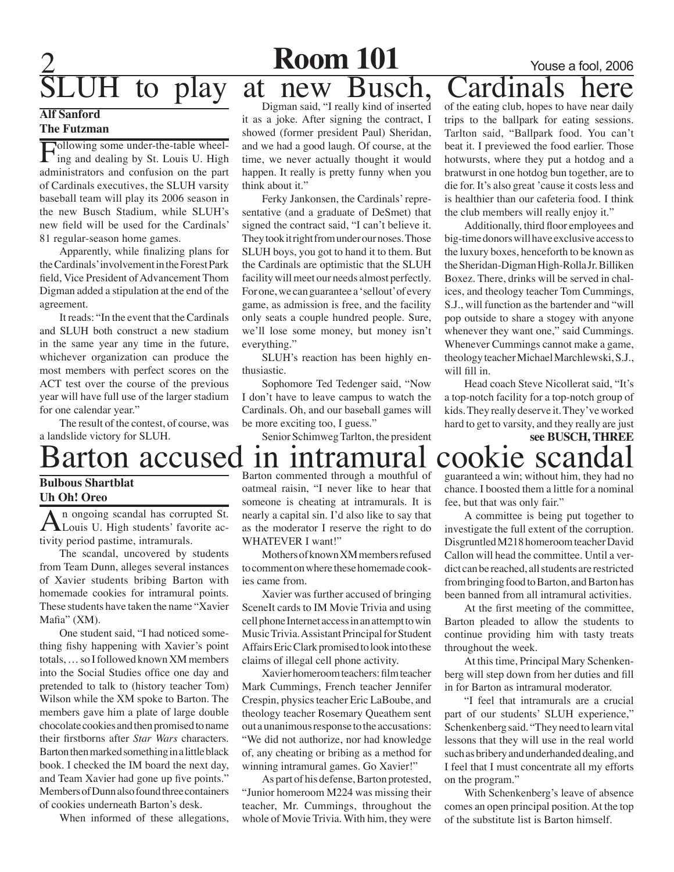# H to play at new Busch, Cardinals

#### **Alf Sanford The Futzman**

Following some under-the-table wheel-ing and dealing by St. Louis U. High administrators and confusion on the part of Cardinals executives, the SLUH varsity baseball team will play its 2006 season in the new Busch Stadium, while SLUH's new field will be used for the Cardinals' 81 regular-season home games.

Apparently, while finalizing plans for the Cardinals' involvement in the Forest Park field, Vice President of Advancement Thom Digman added a stipulation at the end of the agreement.

It reads: "In the event that the Cardinals and SLUH both construct a new stadium in the same year any time in the future, whichever organization can produce the most members with perfect scores on the ACT test over the course of the previous year will have full use of the larger stadium for one calendar year."

The result of the contest, of course, was a landslide victory for SLUH.

#### **Bulbous Shartblat Uh Oh! Oreo**

An ongoing scandal has corrupted St.<br>Louis U. High students' favorite activity period pastime, intramurals.

The scandal, uncovered by students from Team Dunn, alleges several instances of Xavier students bribing Barton with homemade cookies for intramural points. These students have taken the name "Xavier Mafia" (XM).

One student said, "I had noticed something fishy happening with Xavier's point totals, … so I followed known XM members into the Social Studies office one day and pretended to talk to (history teacher Tom) Wilson while the XM spoke to Barton. The members gave him a plate of large double chocolate cookies and then promised to name their firstborns after *Star Wars* characters. Barton then marked something in a little black book. I checked the IM board the next day, and Team Xavier had gone up five points." Members of Dunn also found three containers of cookies underneath Barton's desk.

When informed of these allegations,

Digman said, "I really kind of inserted it as a joke. After signing the contract, I showed (former president Paul) Sheridan, and we had a good laugh. Of course, at the time, we never actually thought it would happen. It really is pretty funny when you think about it."

Ferky Jankonsen, the Cardinals' representative (and a graduate of DeSmet) that signed the contract said, "I can't believe it. They took it right from under our noses. Those SLUH boys, you got to hand it to them. But the Cardinals are optimistic that the SLUH facility will meet our needs almost perfectly. For one, we can guarantee a 'sellout' of every game, as admission is free, and the facility only seats a couple hundred people. Sure, we'll lose some money, but money isn't everything."

SLUH's reaction has been highly enthusiastic.

Sophomore Ted Tedenger said, "Now I don't have to leave campus to watch the Cardinals. Oh, and our baseball games will be more exciting too, I guess."

Senior Schimweg Tarlton, the president

of the eating club, hopes to have near daily trips to the ballpark for eating sessions. Tarlton said, "Ballpark food. You can't beat it. I previewed the food earlier. Those hotwursts, where they put a hotdog and a bratwurst in one hotdog bun together, are to die for. It's also great 'cause it costs less and is healthier than our cafeteria food. I think the club members will really enjoy it."

Additionally, third floor employees and big-time donors will have exclusive access to the luxury boxes, henceforth to be known as the Sheridan-Digman High-Rolla Jr. Billiken Boxez. There, drinks will be served in chalices, and theology teacher Tom Cummings, S.J., will function as the bartender and "will pop outside to share a stogey with anyone whenever they want one," said Cummings. Whenever Cummings cannot make a game, theology teacher Michael Marchlewski, S.J., will fill in.

Head coach Steve Nicollerat said, "It's a top-notch facility for a top-notch group of kids. They really deserve it. They've worked hard to get to varsity, and they really are just

**see BUSCH, THREE**

## Barton accused in intramural cookie scandal

**Room 101** Youse a fool, 2006

Barton commented through a mouthful of oatmeal raisin, "I never like to hear that someone is cheating at intramurals. It is nearly a capital sin. I'd also like to say that as the moderator I reserve the right to do WHATEVER I want!"

Mothers of known XM members refused to comment on where these homemade cookies came from.

Xavier was further accused of bringing SceneIt cards to IM Movie Trivia and using cell phone Internet access in an attempt to win Music Trivia. Assistant Principal for Student Affairs Eric Clark promised to look into these claims of illegal cell phone activity.

Xavier homeroom teachers: film teacher Mark Cummings, French teacher Jennifer Crespin, physics teacher Eric LaBoube, and theology teacher Rosemary Queathem sent out a unanimous response to the accusations: "We did not authorize, nor had knowledge of, any cheating or bribing as a method for winning intramural games. Go Xavier!"

As part of his defense, Barton protested, "Junior homeroom M224 was missing their teacher, Mr. Cummings, throughout the whole of Movie Trivia. With him, they were guaranteed a win; without him, they had no chance. I boosted them a little for a nominal fee, but that was only fair."

A committee is being put together to investigate the full extent of the corruption. Disgruntled M218 homeroom teacher David Callon will head the committee. Until a verdict can be reached, all students are restricted from bringing food to Barton, and Barton has been banned from all intramural activities.

At the first meeting of the committee, Barton pleaded to allow the students to continue providing him with tasty treats throughout the week.

At this time, Principal Mary Schenkenberg will step down from her duties and fill in for Barton as intramural moderator.

"I feel that intramurals are a crucial part of our students' SLUH experience," Schenkenberg said. "They need to learn vital lessons that they will use in the real world such as bribery and underhanded dealing, and I feel that I must concentrate all my efforts on the program."

With Schenkenberg's leave of absence comes an open principal position. At the top of the substitute list is Barton himself.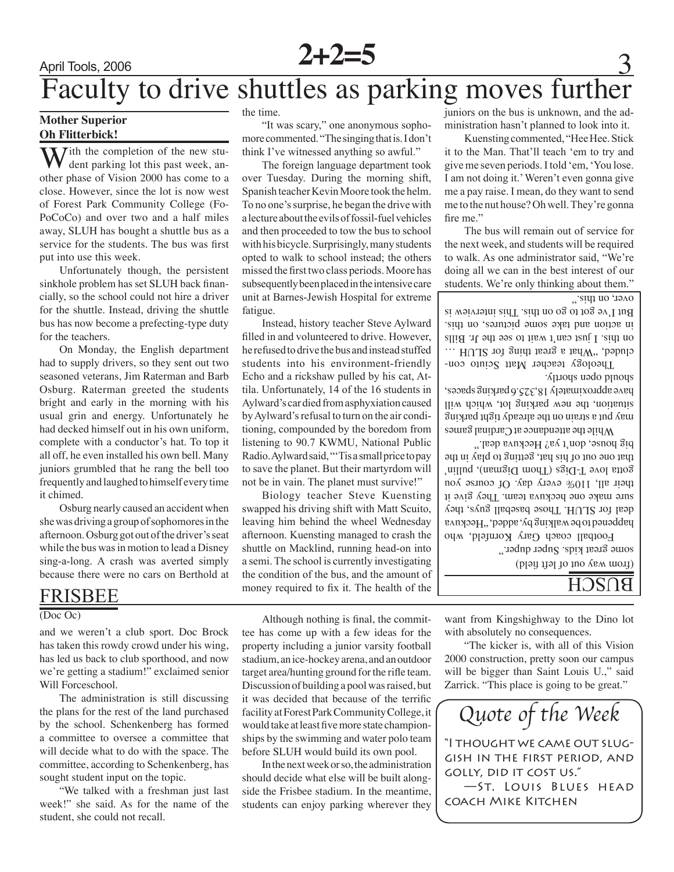

### April Tools, 2006 **2+2=5** Faculty to drive shuttles as parking moves further

#### **Mother Superior Oh Flitterbick!**

 $\mathcal{T}$ ith the completion of the new student parking lot this past week, another phase of Vision 2000 has come to a close. However, since the lot is now west of Forest Park Community College (Fo-PoCoCo) and over two and a half miles away, SLUH has bought a shuttle bus as a service for the students. The bus was first put into use this week.

Unfortunately though, the persistent sinkhole problem has set SLUH back financially, so the school could not hire a driver for the shuttle. Instead, driving the shuttle bus has now become a prefecting-type duty for the teachers.

On Monday, the English department had to supply drivers, so they sent out two seasoned veterans, Jim Raterman and Barb Osburg. Raterman greeted the students bright and early in the morning with his usual grin and energy. Unfortunately he had decked himself out in his own uniform, complete with a conductor's hat. To top it all off, he even installed his own bell. Many juniors grumbled that he rang the bell too frequently and laughed to himself every time it chimed.

Osburg nearly caused an accident when she was driving a group of sophomores in the afternoon. Osburg got out of the driver's seat while the bus was in motion to lead a Disney sing-a-long. A crash was averted simply because there were no cars on Berthold at

### frisbee

#### (Doc Oc)

and we weren't a club sport. Doc Brock has taken this rowdy crowd under his wing, has led us back to club sporthood, and now we're getting a stadium!" exclaimed senior Will Forceschool.

The administration is still discussing the plans for the rest of the land purchased by the school. Schenkenberg has formed a committee to oversee a committee that will decide what to do with the space. The committee, according to Schenkenberg, has sought student input on the topic.

"We talked with a freshman just last week!" she said. As for the name of the student, she could not recall.

the time.

"It was scary," one anonymous sophomore commented. "The singing that is. I don't think I've witnessed anything so awful."

The foreign language department took over Tuesday. During the morning shift, Spanish teacher Kevin Moore took the helm. To no one's surprise, he began the drive with a lecture about the evils of fossil-fuel vehicles and then proceeded to tow the bus to school with his bicycle. Surprisingly, many students opted to walk to school instead; the others missed the first two class periods. Moore has subsequently been placed in the intensive care unit at Barnes-Jewish Hospital for extreme fatigue.

Instead, history teacher Steve Aylward filled in and volunteered to drive. However, he refused to drive the bus and instead stuffed students into his environment-friendly Echo and a rickshaw pulled by his cat, Attila. Unfortunately, 14 of the 16 students in Aylward's car died from asphyxiation caused by Aylward's refusal to turn on the air conditioning, compounded by the boredom from listening to 90.7 KWMU, National Public Radio. Aylward said, "'Tis a small price to pay to save the planet. But their martyrdom will not be in vain. The planet must survive!"

Biology teacher Steve Kuensting swapped his driving shift with Matt Scuito, leaving him behind the wheel Wednesday afternoon. Kuensting managed to crash the shuttle on Macklind, running head-on into a semi. The school is currently investigating the condition of the bus, and the amount of money required to fix it. The health of the juniors on the bus is unknown, and the administration hasn't planned to look into it.

Kuensting commented, "Hee Hee. Stick it to the Man. That'll teach 'em to try and give me seven periods. I told 'em, 'You lose. I am not doing it.' Weren't even gonna give me a pay raise. I mean, do they want to send me to the nut house? Oh well. They're gonna fire me."

The bus will remain out of service for the next week, and students will be required to walk. As one administrator said, "We're doing all we can in the best interest of our students. We're only thinking about them."

over, on this."

Theology teacher Matt Sciuto concluded, "What a great thing for SLUH ... on this. I just can't wait to see the Jr. Bills in action and take some pictures, on this. But I've got to go on this interview is

While the attendance at Cardinal games may put a strain on the already tight parking situation, the new parking lot, which will have approximately 18,325.6 parking spaces, should open shortly.

happened to be walking by, added, "Heckuva deal for SLUH. Those baseball guys, they sure make one heckuva team. They give it their all, 110% every day. Of course you gotta love T-Digs (Thom Digman), pullin' that one out of his hat, getting to play in the big house, don't ya? Heckuva deal."

some great kids. Super duper." Football coach Gary Kornfeld, who

(from way out of left field)

#### $B$  $\Omega$ cH<sub> $\overline{B}$ </sub>

want from Kingshighway to the Dino lot with absolutely no consequences.

"The kicker is, with all of this Vision 2000 construction, pretty soon our campus will be bigger than Saint Louis U.," said Zarrick. "This place is going to be great."

*Quote of the Week*

"I thought we came out sluggish in the first period, and golly, did it cost us." —St. Louis Blues head coach Mike Kitchen

Although nothing is final, the committee has come up with a few ideas for the property including a junior varsity football stadium, an ice-hockey arena, and an outdoor target area/hunting ground for the rifle team. Discussion of building a pool was raised, but it was decided that because of the terrific facility at Forest Park Community College, it would take at least five more state championships by the swimming and water polo team before SLUH would build its own pool.

In the next week or so, the administration should decide what else will be built alongside the Frisbee stadium. In the meantime, students can enjoy parking wherever they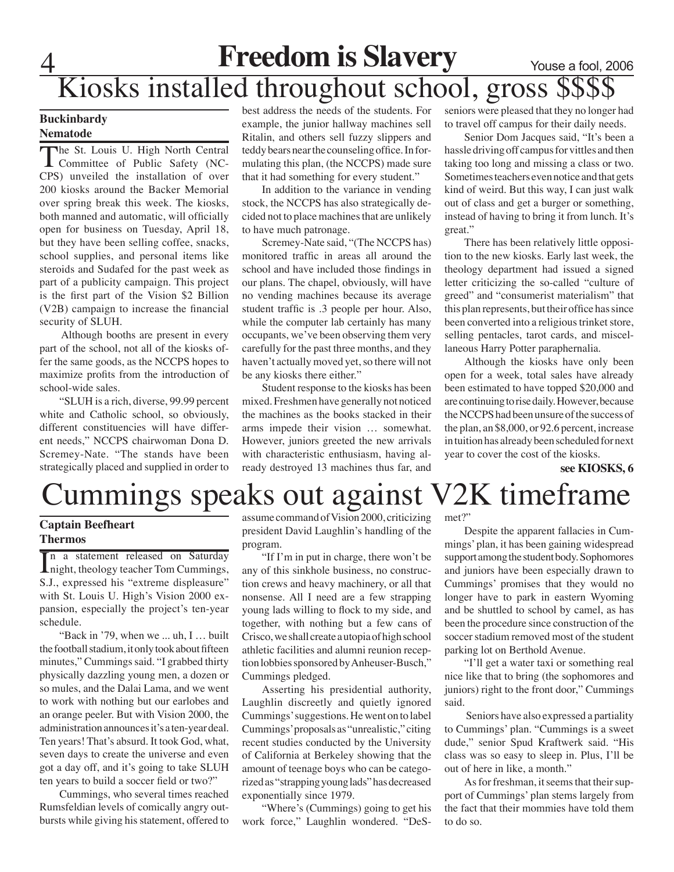## **Freedom is Slavery** Youse a fool, 2006 Kiosks installed throughout school, gross \$\$\$

#### **Buckinbardy Nematode**

The St. Louis U. High North Central Committee of Public Safety (NC-CPS) unveiled the installation of over 200 kiosks around the Backer Memorial over spring break this week. The kiosks, both manned and automatic, will officially open for business on Tuesday, April 18, but they have been selling coffee, snacks, school supplies, and personal items like steroids and Sudafed for the past week as part of a publicity campaign. This project is the first part of the Vision \$2 Billion (V2B) campaign to increase the financial security of SLUH.

 Although booths are present in every part of the school, not all of the kiosks offer the same goods, as the NCCPS hopes to maximize profits from the introduction of school-wide sales.

"SLUH is a rich, diverse, 99.99 percent white and Catholic school, so obviously, different constituencies will have different needs," NCCPS chairwoman Dona D. Scremey-Nate. "The stands have been strategically placed and supplied in order to

best address the needs of the students. For example, the junior hallway machines sell Ritalin, and others sell fuzzy slippers and teddy bears near the counseling office. In formulating this plan, (the NCCPS) made sure that it had something for every student."

In addition to the variance in vending stock, the NCCPS has also strategically decided not to place machines that are unlikely to have much patronage.

Scremey-Nate said, "(The NCCPS has) monitored traffic in areas all around the school and have included those findings in our plans. The chapel, obviously, will have no vending machines because its average student traffic is .3 people per hour. Also, while the computer lab certainly has many occupants, we've been observing them very carefully for the past three months, and they haven't actually moved yet, so there will not be any kiosks there either."

Student response to the kiosks has been mixed. Freshmen have generally not noticed the machines as the books stacked in their arms impede their vision … somewhat. However, juniors greeted the new arrivals with characteristic enthusiasm, having already destroyed 13 machines thus far, and

seniors were pleased that they no longer had to travel off campus for their daily needs.

Senior Dom Jacques said, "It's been a hassle driving off campus for vittles and then taking too long and missing a class or two. Sometimes teachers even notice and that gets kind of weird. But this way, I can just walk out of class and get a burger or something, instead of having to bring it from lunch. It's great."

There has been relatively little opposition to the new kiosks. Early last week, the theology department had issued a signed letter criticizing the so-called "culture of greed" and "consumerist materialism" that this plan represents, but their office has since been converted into a religious trinket store, selling pentacles, tarot cards, and miscellaneous Harry Potter paraphernalia.

Although the kiosks have only been open for a week, total sales have already been estimated to have topped \$20,000 and are continuing to rise daily. However, because the NCCPS had been unsure of the success of the plan, an \$8,000, or 92.6 percent, increase in tuition has already been scheduled for next year to cover the cost of the kiosks.

**see KIOSKS, 6**

## ummings speaks out against V2K timeframe

#### **Captain Beefheart Thermos**

In a statement released on Saturday<br>
night, theology teacher Tom Cummings, n a statement released on Saturday S.J., expressed his "extreme displeasure" with St. Louis U. High's Vision 2000 expansion, especially the project's ten-year schedule.

"Back in '79, when we ... uh, I … built the football stadium, it only took about fifteen minutes," Cummings said. "I grabbed thirty physically dazzling young men, a dozen or so mules, and the Dalai Lama, and we went to work with nothing but our earlobes and an orange peeler. But with Vision 2000, the administration announces it's a ten-year deal. Ten years! That's absurd. It took God, what, seven days to create the universe and even got a day off, and it's going to take SLUH ten years to build a soccer field or two?"

Cummings, who several times reached Rumsfeldian levels of comically angry outbursts while giving his statement, offered to

assume command of Vision 2000, criticizing president David Laughlin's handling of the program.

"If I'm in put in charge, there won't be any of this sinkhole business, no construction crews and heavy machinery, or all that nonsense. All I need are a few strapping young lads willing to flock to my side, and together, with nothing but a few cans of Crisco, we shall create a utopia of high school athletic facilities and alumni reunion reception lobbies sponsored by Anheuser-Busch," Cummings pledged.

Asserting his presidential authority, Laughlin discreetly and quietly ignored Cummings' suggestions. He went on to label Cummings' proposals as "unrealistic," citing recent studies conducted by the University of California at Berkeley showing that the amount of teenage boys who can be categorized as "strapping young lads" has decreased exponentially since 1979.

"Where's (Cummings) going to get his work force," Laughlin wondered. "DeS-

met?"

Despite the apparent fallacies in Cummings' plan, it has been gaining widespread support among the student body. Sophomores and juniors have been especially drawn to Cummings' promises that they would no longer have to park in eastern Wyoming and be shuttled to school by camel, as has been the procedure since construction of the soccer stadium removed most of the student parking lot on Berthold Avenue.

"I'll get a water taxi or something real nice like that to bring (the sophomores and juniors) right to the front door," Cummings said.

 Seniors have also expressed a partiality to Cummings' plan. "Cummings is a sweet dude," senior Spud Kraftwerk said. "His class was so easy to sleep in. Plus, I'll be out of here in like, a month."

As for freshman, it seems that their support of Cummings' plan stems largely from the fact that their mommies have told them to do so.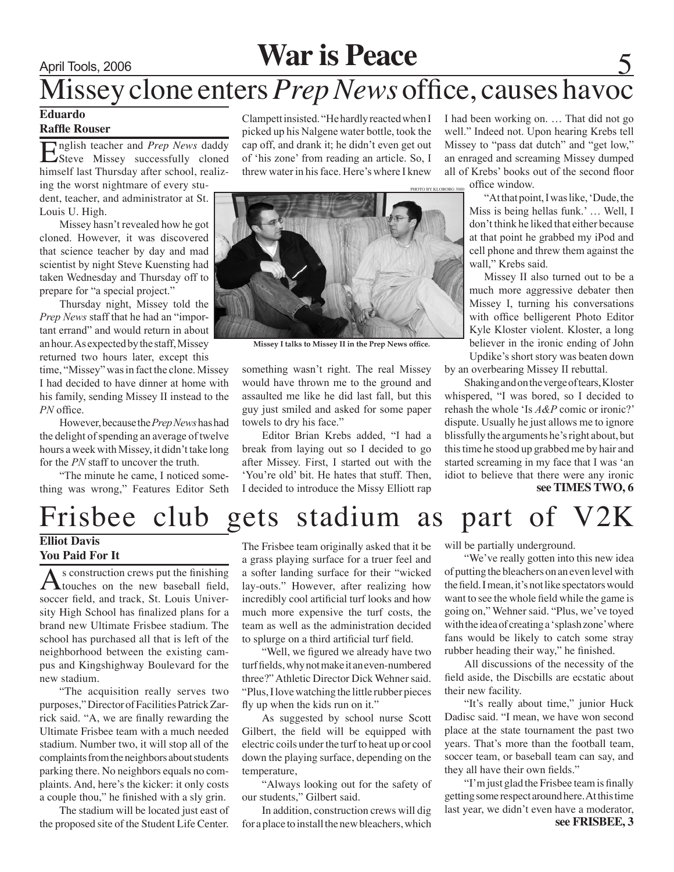### April Tools, 2006 **War is Peace**

## Missey clone enters *Prep News* office, causes havoc

#### **Eduardo**

#### **Raffle Rouser**

English teacher and *Prep News* daddy<br>Steve Missey successfully cloned himself last Thursday after school, realiz-

ing the worst nightmare of every student, teacher, and administrator at St. Louis U. High.

Missey hasn't revealed how he got cloned. However, it was discovered that science teacher by day and mad scientist by night Steve Kuensting had taken Wednesday and Thursday off to prepare for "a special project."

Thursday night, Missey told the *Prep News* staff that he had an "important errand" and would return in about an hour. As expected by the staff, Missey returned two hours later, except this

time, "Missey" was in fact the clone. Missey I had decided to have dinner at home with his family, sending Missey II instead to the *PN* office.

However, because the *Prep News* has had the delight of spending an average of twelve hours a week with Missey, it didn't take long for the *PN* staff to uncover the truth.

"The minute he came, I noticed something was wrong," Features Editor Seth Clampett insisted. "He hardly reacted when I picked up his Nalgene water bottle, took the cap off, and drank it; he didn't even get out of 'his zone' from reading an article. So, I threw water in his face. Here's where I knew



**Missey I talks to Missey II in the Prep News office.**

something wasn't right. The real Missey would have thrown me to the ground and assaulted me like he did last fall, but this guy just smiled and asked for some paper towels to dry his face."

Editor Brian Krebs added, "I had a break from laying out so I decided to go after Missey. First, I started out with the 'You're old' bit. He hates that stuff. Then, I decided to introduce the Missy Elliott rap

I had been working on. … That did not go well." Indeed not. Upon hearing Krebs tell Missey to "pass dat dutch" and "get low," an enraged and screaming Missey dumped all of Krebs' books out of the second floor office window.

"At that point, I was like, 'Dude, the Miss is being hellas funk.' … Well, I don't think he liked that either because at that point he grabbed my iPod and cell phone and threw them against the wall," Krebs said.

Missey II also turned out to be a much more aggressive debater then Missey I, turning his conversations with office belligerent Photo Editor Kyle Kloster violent. Kloster, a long believer in the ironic ending of John Updike's short story was beaten down

by an overbearing Missey II rebuttal.

Shaking and on the verge of tears, Kloster whispered, "I was bored, so I decided to rehash the whole 'Is *A&P* comic or ironic?' dispute. Usually he just allows me to ignore blissfully the arguments he's right about, but this time he stood up grabbed me by hair and started screaming in my face that I was 'an idiot to believe that there were any ironic **see TIMES TWO, 6**

### Frisbee club gets stadium as part of V2K

#### **Elliot Davis You Paid For It**

As construction crews put the finishing<br>touches on the new baseball field, soccer field, and track, St. Louis University High School has finalized plans for a brand new Ultimate Frisbee stadium. The school has purchased all that is left of the neighborhood between the existing campus and Kingshighway Boulevard for the new stadium.

"The acquisition really serves two purposes," Director of Facilities Patrick Zarrick said. "A, we are finally rewarding the Ultimate Frisbee team with a much needed stadium. Number two, it will stop all of the complaints from the neighbors about students parking there. No neighbors equals no complaints. And, here's the kicker: it only costs a couple thou," he finished with a sly grin.

The stadium will be located just east of the proposed site of the Student Life Center. The Frisbee team originally asked that it be a grass playing surface for a truer feel and a softer landing surface for their "wicked lay-outs." However, after realizing how incredibly cool artificial turf looks and how much more expensive the turf costs, the team as well as the administration decided to splurge on a third artificial turf field.

"Well, we figured we already have two turf fields, why not make it an even-numbered three?" Athletic Director Dick Wehner said. "Plus, I love watching the little rubber pieces fly up when the kids run on it."

As suggested by school nurse Scott Gilbert, the field will be equipped with electric coils under the turf to heat up or cool down the playing surface, depending on the temperature,

"Always looking out for the safety of our students," Gilbert said.

In addition, construction crews will dig for a place to install the new bleachers, which will be partially underground.

"We've really gotten into this new idea of putting the bleachers on an even level with the field. I mean, it's not like spectators would want to see the whole field while the game is going on," Wehner said. "Plus, we've toyed with the idea of creating a 'splash zone' where fans would be likely to catch some stray rubber heading their way," he finished.

All discussions of the necessity of the field aside, the Discbills are ecstatic about their new facility.

"It's really about time," junior Huck Dadisc said. "I mean, we have won second place at the state tournament the past two years. That's more than the football team, soccer team, or baseball team can say, and they all have their own fields."

"I'm just glad the Frisbee team is finally getting some respect around here. At this time last year, we didn't even have a moderator, **see FRISBEE, 3**